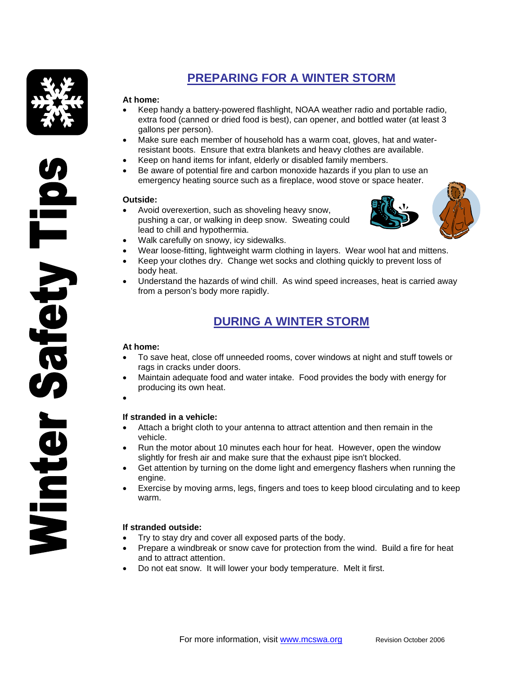

# **PREPARING FOR A WINTER STORM**

#### **At home:**

- Keep handy a battery-powered flashlight, NOAA weather radio and portable radio, extra food (canned or dried food is best), can opener, and bottled water (at least 3 gallons per person).
- Make sure each member of household has a warm coat, gloves, hat and waterresistant boots. Ensure that extra blankets and heavy clothes are available.
- Keep on hand items for infant, elderly or disabled family members.
- Be aware of potential fire and carbon monoxide hazards if you plan to use an emergency heating source such as a fireplace, wood stove or space heater.

#### **Outside:**

• Avoid overexertion, such as shoveling heavy snow, pushing a car, or walking in deep snow. Sweating could lead to chill and hypothermia.



- Walk carefully on snowy, icy sidewalks.
- Wear loose-fitting, lightweight warm clothing in layers. Wear wool hat and mittens.
- Keep your clothes dry. Change wet socks and clothing quickly to prevent loss of body heat.
- Understand the hazards of wind chill. As wind speed increases, heat is carried away from a person's body more rapidly.

# **DURING A WINTER STORM**

## **At home:**

- To save heat, close off unneeded rooms, cover windows at night and stuff towels or rags in cracks under doors.
- Maintain adequate food and water intake. Food provides the body with energy for producing its own heat.
- •

## **If stranded in a vehicle:**

- Attach a bright cloth to your antenna to attract attention and then remain in the vehicle.
- Run the motor about 10 minutes each hour for heat. However, open the window slightly for fresh air and make sure that the exhaust pipe isn't blocked.
- Get attention by turning on the dome light and emergency flashers when running the engine.
- Exercise by moving arms, legs, fingers and toes to keep blood circulating and to keep warm.

## **If stranded outside:**

- Try to stay dry and cover all exposed parts of the body.
- Prepare a windbreak or snow cave for protection from the wind. Build a fire for heat and to attract attention.
- Do not eat snow. It will lower your body temperature. Melt it first.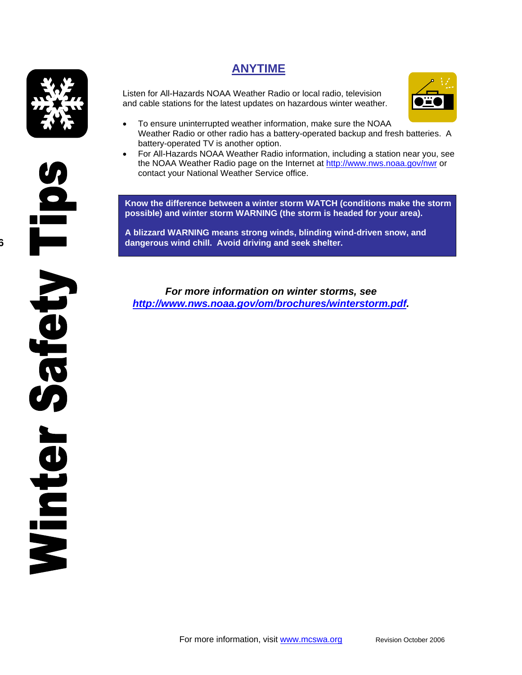# **ANYTIME**

Listen for All-Hazards NOAA Weather Radio or local radio, television and cable stations for the latest updates on hazardous winter weather.



- To ensure uninterrupted weather information, make sure the NOAA Weather Radio or other radio has a battery-operated backup and fresh batteries. A battery-operated TV is another option.
- For All-Hazards NOAA Weather Radio information, including a station near you, see the NOAA Weather Radio page on the Internet at http://www.nws.noaa.gov/nwr or contact your National Weather Service office.

**Know the difference between a winter storm WATCH (conditions make the storm possible) and winter storm WARNING (the storm is headed for your area).** 

**A blizzard WARNING means strong winds, blinding wind-driven snow, and dangerous wind chill. Avoid driving and seek shelter.** 

*For more information on winter storms, see http://www.nws.noaa.gov/om/brochures/winterstorm.pdf.* 

**6**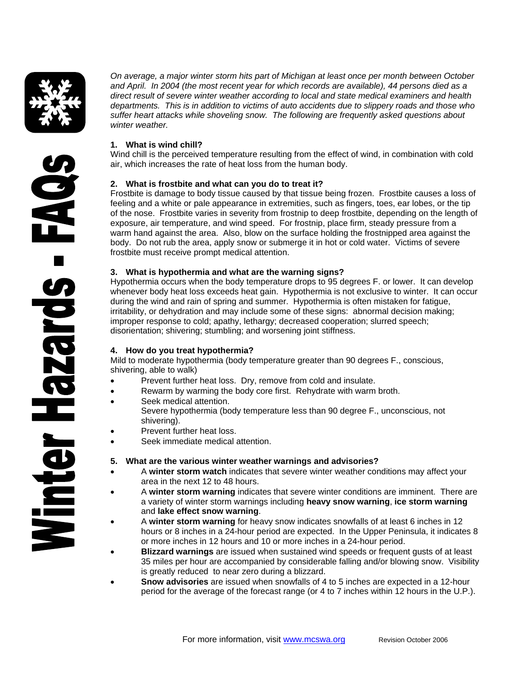

**CASH** 

- spieze

Vinter

*On average, a major winter storm hits part of Michigan at least once per month between October and April. In 2004 (the most recent year for which records are available), 44 persons died as a direct result of severe winter weather according to local and state medical examiners and health departments. This is in addition to victims of auto accidents due to slippery roads and those who suffer heart attacks while shoveling snow. The following are frequently asked questions about winter weather.* 

### **1. What is wind chill?**

Wind chill is the perceived temperature resulting from the effect of wind, in combination with cold air, which increases the rate of heat loss from the human body.

#### **2. What is frostbite and what can you do to treat it?**

Frostbite is damage to body tissue caused by that tissue being frozen. Frostbite causes a loss of feeling and a white or pale appearance in extremities, such as fingers, toes, ear lobes, or the tip of the nose. Frostbite varies in severity from frostnip to deep frostbite, depending on the length of exposure, air temperature, and wind speed. For frostnip, place firm, steady pressure from a warm hand against the area. Also, blow on the surface holding the frostnipped area against the body. Do not rub the area, apply snow or submerge it in hot or cold water. Victims of severe frostbite must receive prompt medical attention.

#### **3. What is hypothermia and what are the warning signs?**

Hypothermia occurs when the body temperature drops to 95 degrees F. or lower. It can develop whenever body heat loss exceeds heat gain. Hypothermia is not exclusive to winter. It can occur during the wind and rain of spring and summer. Hypothermia is often mistaken for fatigue, irritability, or dehydration and may include some of these signs: abnormal decision making; improper response to cold; apathy, lethargy; decreased cooperation; slurred speech; disorientation; shivering; stumbling; and worsening joint stiffness.

#### **4. How do you treat hypothermia?**

Mild to moderate hypothermia (body temperature greater than 90 degrees F., conscious, shivering, able to walk)

- Prevent further heat loss. Dry, remove from cold and insulate.
- Rewarm by warming the body core first. Rehydrate with warm broth. • Seek medical attention.
	- Severe hypothermia (body temperature less than 90 degree F., unconscious, not shivering).
- Prevent further heat loss.
- Seek immediate medical attention.

## **5. What are the various winter weather warnings and advisories?**

- A **winter storm watch** indicates that severe winter weather conditions may affect your area in the next 12 to 48 hours.
- A **winter storm warning** indicates that severe winter conditions are imminent. There are a variety of winter storm warnings including **heavy snow warning**, **ice storm warning** and **lake effect snow warning**.
- A **winter storm warning** for heavy snow indicates snowfalls of at least 6 inches in 12 hours or 8 inches in a 24-hour period are expected. In the Upper Peninsula, it indicates 8 or more inches in 12 hours and 10 or more inches in a 24-hour period.
- **Blizzard warnings** are issued when sustained wind speeds or frequent gusts of at least 35 miles per hour are accompanied by considerable falling and/or blowing snow. Visibility is greatly reduced to near zero during a blizzard.
- **Snow advisories** are issued when snowfalls of 4 to 5 inches are expected in a 12-hour period for the average of the forecast range (or 4 to 7 inches within 12 hours in the U.P.).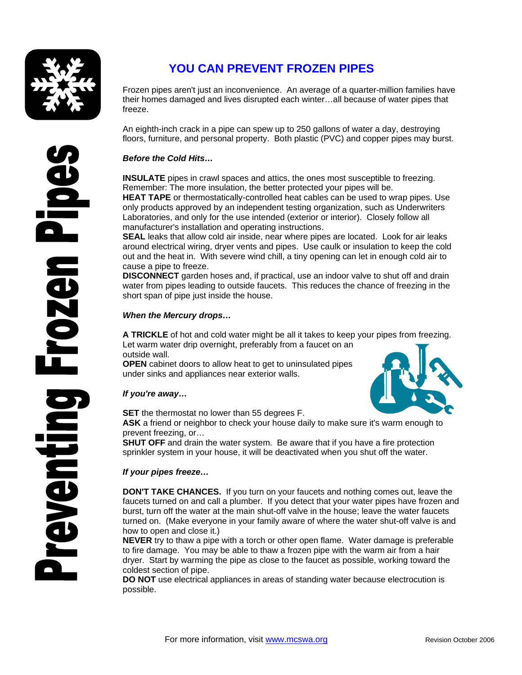

# **YOU CAN PREVENT FROZEN PIPES**

Frozen pipes aren't just an inconvenience. An average of a quarter-million families have their homes damaged and lives disrupted each winter…all because of water pipes that freeze.

An eighth-inch crack in a pipe can spew up to 250 gallons of water a day, destroying floors, furniture, and personal property. Both plastic (PVC) and copper pipes may burst.

# *Before the Cold Hits…*

**INSULATE** pipes in crawl spaces and attics, the ones most susceptible to freezing. Remember: The more insulation, the better protected your pipes will be. **HEAT TAPE** or thermostatically-controlled heat cables can be used to wrap pipes. Use only products approved by an independent testing organization, such as Underwriters Laboratories, and only for the use intended (exterior or interior). Closely follow all manufacturer's installation and operating instructions.

**SEAL** leaks that allow cold air inside, near where pipes are located. Look for air leaks around electrical wiring, dryer vents and pipes. Use caulk or insulation to keep the cold out and the heat in. With severe wind chill, a tiny opening can let in enough cold air to cause a pipe to freeze.

**DISCONNECT** garden hoses and, if practical, use an indoor valve to shut off and drain water from pipes leading to outside faucets. This reduces the chance of freezing in the short span of pipe just inside the house.

# *When the Mercury drops…*

**A TRICKLE** of hot and cold water might be all it takes to keep your pipes from freezing. Let warm water drip overnight, preferably from a faucet on an

outside wall. **OPEN** cabinet doors to allow heat to get to uninsulated pipes under sinks and appliances near exterior walls.

# *If you're away…*

**SET** the thermostat no lower than 55 degrees F.



**ASK** a friend or neighbor to check your house daily to make sure it's warm enough to prevent freezing, or…

**SHUT OFF** and drain the water system. Be aware that if you have a fire protection sprinkler system in your house, it will be deactivated when you shut off the water.

## *If your pipes freeze…*

**DON'T TAKE CHANCES.** If you turn on your faucets and nothing comes out, leave the faucets turned on and call a plumber. If you detect that your water pipes have frozen and burst, turn off the water at the main shut-off valve in the house; leave the water faucets turned on. (Make everyone in your family aware of where the water shut-off valve is and how to open and close it.)

**NEVER** try to thaw a pipe with a torch or other open flame. Water damage is preferable to fire damage. You may be able to thaw a frozen pipe with the warm air from a hair dryer. Start by warming the pipe as close to the faucet as possible, working toward the coldest section of pipe.

**DO NOT** use electrical appliances in areas of standing water because electrocution is possible.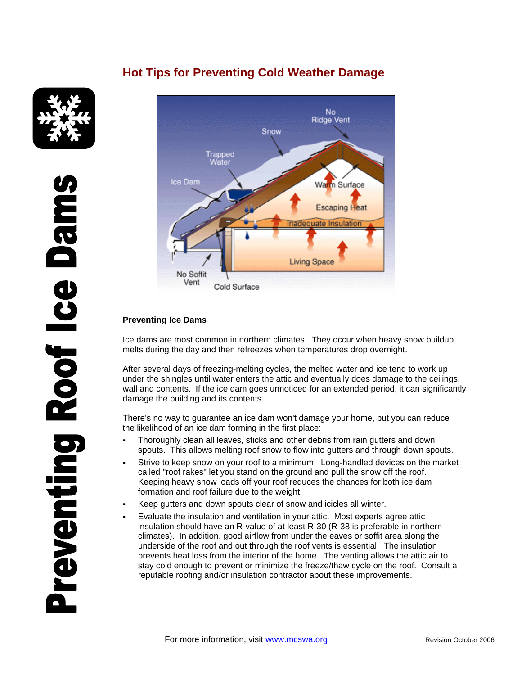# **Hot Tips for Preventing Cold Weather Damage**





#### **Preventing Ice Dams**

Ice dams are most common in northern climates. They occur when heavy snow buildup melts during the day and then refreezes when temperatures drop overnight.

After several days of freezing-melting cycles, the melted water and ice tend to work up under the shingles until water enters the attic and eventually does damage to the ceilings, wall and contents. If the ice dam goes unnoticed for an extended period, it can significantly damage the building and its contents.

There's no way to guarantee an ice dam won't damage your home, but you can reduce the likelihood of an ice dam forming in the first place:

- Thoroughly clean all leaves, sticks and other debris from rain gutters and down spouts. This allows melting roof snow to flow into gutters and through down spouts.
- Strive to keep snow on your roof to a minimum. Long-handled devices on the market called "roof rakes" let you stand on the ground and pull the snow off the roof. Keeping heavy snow loads off your roof reduces the chances for both ice dam formation and roof failure due to the weight.
- Keep gutters and down spouts clear of snow and icicles all winter.
- Evaluate the insulation and ventilation in your attic. Most experts agree attic insulation should have an R-value of at least R-30 (R-38 is preferable in northern climates). In addition, good airflow from under the eaves or soffit area along the underside of the roof and out through the roof vents is essential. The insulation prevents heat loss from the interior of the home. The venting allows the attic air to stay cold enough to prevent or minimize the freeze/thaw cycle on the roof. Consult a reputable roofing and/or insulation contractor about these improvements.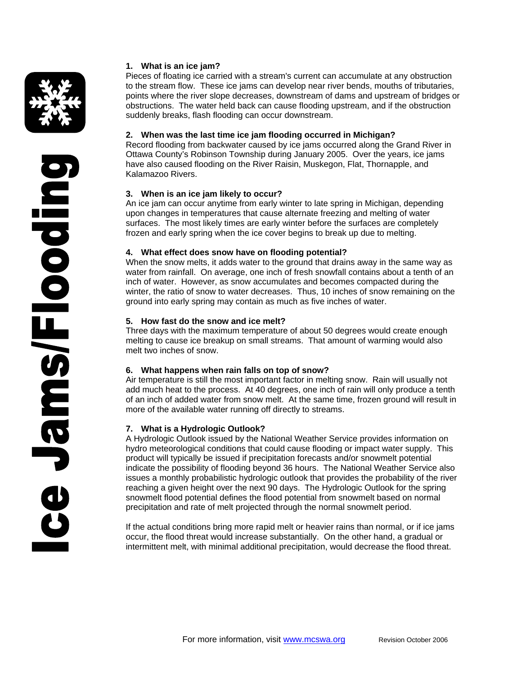

#### **1. What is an ice jam?**

Pieces of floating ice carried with a stream's current can accumulate at any obstruction to the stream flow. These ice jams can develop near river bends, mouths of tributaries, points where the river slope decreases, downstream of dams and upstream of bridges or obstructions. The water held back can cause flooding upstream, and if the obstruction suddenly breaks, flash flooding can occur downstream.

#### **2. When was the last time ice jam flooding occurred in Michigan?**

Record flooding from backwater caused by ice jams occurred along the Grand River in Ottawa County's Robinson Township during January 2005. Over the years, ice jams have also caused flooding on the River Raisin, Muskegon, Flat, Thornapple, and Kalamazoo Rivers.

#### **3. When is an ice jam likely to occur?**

An ice jam can occur anytime from early winter to late spring in Michigan, depending upon changes in temperatures that cause alternate freezing and melting of water surfaces. The most likely times are early winter before the surfaces are completely frozen and early spring when the ice cover begins to break up due to melting.

#### **4. What effect does snow have on flooding potential?**

When the snow melts, it adds water to the ground that drains away in the same way as water from rainfall. On average, one inch of fresh snowfall contains about a tenth of an inch of water. However, as snow accumulates and becomes compacted during the winter, the ratio of snow to water decreases. Thus, 10 inches of snow remaining on the ground into early spring may contain as much as five inches of water.

#### **5. How fast do the snow and ice melt?**

Three days with the maximum temperature of about 50 degrees would create enough melting to cause ice breakup on small streams. That amount of warming would also melt two inches of snow.

#### **6. What happens when rain falls on top of snow?**

Air temperature is still the most important factor in melting snow. Rain will usually not add much heat to the process. At 40 degrees, one inch of rain will only produce a tenth of an inch of added water from snow melt. At the same time, frozen ground will result in more of the available water running off directly to streams.

#### **7. What is a Hydrologic Outlook?**

A Hydrologic Outlook issued by the National Weather Service provides information on hydro meteorological conditions that could cause flooding or impact water supply. This product will typically be issued if precipitation forecasts and/or snowmelt potential indicate the possibility of flooding beyond 36 hours. The National Weather Service also issues a monthly probabilistic hydrologic outlook that provides the probability of the river reaching a given height over the next 90 days. The Hydrologic Outlook for the spring snowmelt flood potential defines the flood potential from snowmelt based on normal precipitation and rate of melt projected through the normal snowmelt period.

If the actual conditions bring more rapid melt or heavier rains than normal, or if ice jams occur, the flood threat would increase substantially. On the other hand, a gradual or intermittent melt, with minimal additional precipitation, would decrease the flood threat.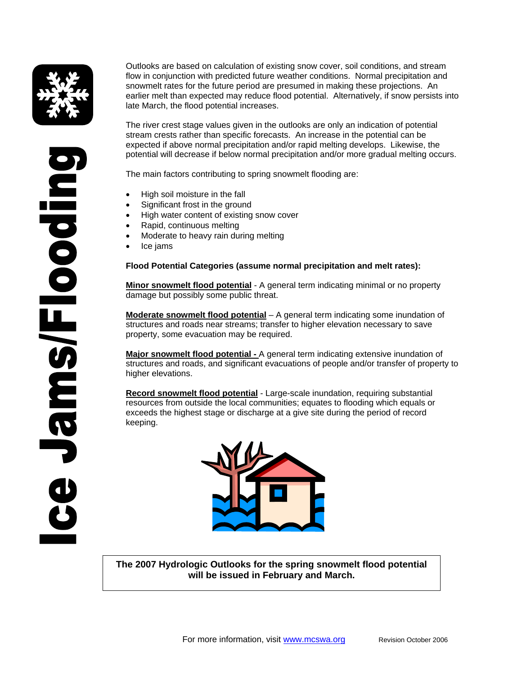

Jams/Flooding

Outlooks are based on calculation of existing snow cover, soil conditions, and stream flow in conjunction with predicted future weather conditions. Normal precipitation and snowmelt rates for the future period are presumed in making these projections. An earlier melt than expected may reduce flood potential. Alternatively, if snow persists into late March, the flood potential increases.

The river crest stage values given in the outlooks are only an indication of potential stream crests rather than specific forecasts. An increase in the potential can be expected if above normal precipitation and/or rapid melting develops. Likewise, the potential will decrease if below normal precipitation and/or more gradual melting occurs.

The main factors contributing to spring snowmelt flooding are:

- High soil moisture in the fall
- Significant frost in the ground
- High water content of existing snow cover
- Rapid, continuous melting
- Moderate to heavy rain during melting
- Ice jams

#### **Flood Potential Categories (assume normal precipitation and melt rates):**

**Minor snowmelt flood potential** - A general term indicating minimal or no property damage but possibly some public threat.

**Moderate snowmelt flood potential** – A general term indicating some inundation of structures and roads near streams; transfer to higher elevation necessary to save property, some evacuation may be required.

**Major snowmelt flood potential -** A general term indicating extensive inundation of structures and roads, and significant evacuations of people and/or transfer of property to higher elevations.

**Record snowmelt flood potential** - Large-scale inundation, requiring substantial resources from outside the local communities; equates to flooding which equals or exceeds the highest stage or discharge at a give site during the period of record keeping.



**The 2007 Hydrologic Outlooks for the spring snowmelt flood potential will be issued in February and March.**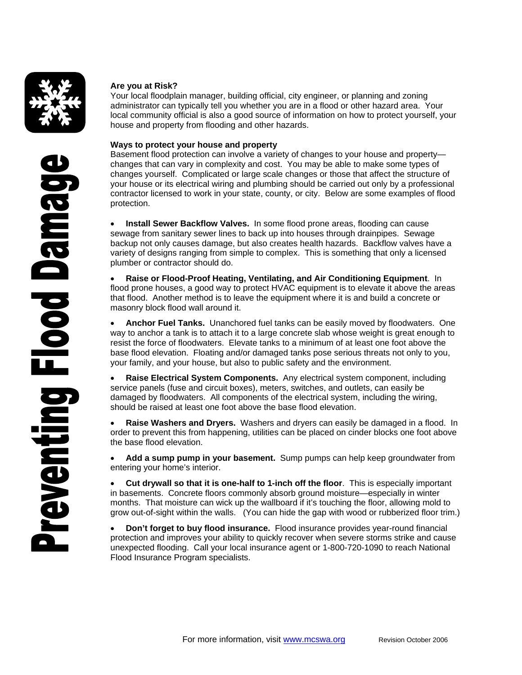

#### **Are you at Risk?**

Your local floodplain manager, building official, city engineer, or planning and zoning administrator can typically tell you whether you are in a flood or other hazard area. Your local community official is also a good source of information on how to protect yourself, your house and property from flooding and other hazards.

#### **Ways to protect your house and property**

Basement flood protection can involve a variety of changes to your house and property changes that can vary in complexity and cost. You may be able to make some types of changes yourself. Complicated or large scale changes or those that affect the structure of your house or its electrical wiring and plumbing should be carried out only by a professional contractor licensed to work in your state, county, or city. Below are some examples of flood protection.

• **Install Sewer Backflow Valves.** In some flood prone areas, flooding can cause sewage from sanitary sewer lines to back up into houses through drainpipes. Sewage backup not only causes damage, but also creates health hazards. Backflow valves have a variety of designs ranging from simple to complex. This is something that only a licensed plumber or contractor should do.

• **Raise or Flood-Proof Heating, Ventilating, and Air Conditioning Equipment**. In flood prone houses, a good way to protect HVAC equipment is to elevate it above the areas that flood. Another method is to leave the equipment where it is and build a concrete or masonry block flood wall around it.

• **Anchor Fuel Tanks.** Unanchored fuel tanks can be easily moved by floodwaters. One way to anchor a tank is to attach it to a large concrete slab whose weight is great enough to resist the force of floodwaters. Elevate tanks to a minimum of at least one foot above the base flood elevation. Floating and/or damaged tanks pose serious threats not only to you, your family, and your house, but also to public safety and the environment.

• **Raise Electrical System Components.** Any electrical system component, including service panels (fuse and circuit boxes), meters, switches, and outlets, can easily be damaged by floodwaters. All components of the electrical system, including the wiring, should be raised at least one foot above the base flood elevation.

• **Raise Washers and Dryers.** Washers and dryers can easily be damaged in a flood. In order to prevent this from happening, utilities can be placed on cinder blocks one foot above the base flood elevation.

• **Add a sump pump in your basement.** Sump pumps can help keep groundwater from entering your home's interior.

• **Cut drywall so that it is one-half to 1-inch off the floor**. This is especially important in basements. Concrete floors commonly absorb ground moisture—especially in winter months. That moisture can wick up the wallboard if it's touching the floor, allowing mold to grow out-of-sight within the walls. (You can hide the gap with wood or rubberized floor trim.)

• **Don't forget to buy flood insurance.** Flood insurance provides year-round financial protection and improves your ability to quickly recover when severe storms strike and cause unexpected flooding. Call your local insurance agent or 1-800-720-1090 to reach National Flood Insurance Program specialists.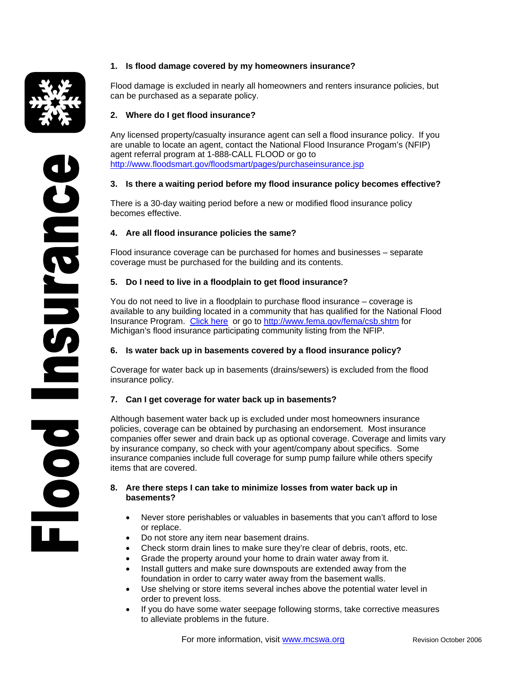

**OSUFANCE** 

**Elood** 

#### **1. Is flood damage covered by my homeowners insurance?**

Flood damage is excluded in nearly all homeowners and renters insurance policies, but can be purchased as a separate policy.

#### **2. Where do I get flood insurance?**

Any licensed property/casualty insurance agent can sell a flood insurance policy. If you are unable to locate an agent, contact the National Flood Insurance Progam's (NFIP) agent referral program at 1-888-CALL FLOOD or go to http://www.floodsmart.gov/floodsmart/pages/purchaseinsurance.jsp

#### **3. Is there a waiting period before my flood insurance policy becomes effective?**

There is a 30-day waiting period before a new or modified flood insurance policy becomes effective.

#### **4. Are all flood insurance policies the same?**

Flood insurance coverage can be purchased for homes and businesses – separate coverage must be purchased for the building and its contents.

#### **5. Do I need to live in a floodplain to get flood insurance?**

You do not need to live in a floodplain to purchase flood insurance – coverage is available to any building located in a community that has qualified for the National Flood Insurance Program. Click here or go to http://www.fema.gov/fema/csb.shtm for Michigan's flood insurance participating community listing from the NFIP.

#### **6. Is water back up in basements covered by a flood insurance policy?**

Coverage for water back up in basements (drains/sewers) is excluded from the flood insurance policy.

#### **7. Can I get coverage for water back up in basements?**

Although basement water back up is excluded under most homeowners insurance policies, coverage can be obtained by purchasing an endorsement. Most insurance companies offer sewer and drain back up as optional coverage. Coverage and limits vary by insurance company, so check with your agent/company about specifics. Some insurance companies include full coverage for sump pump failure while others specify items that are covered.

#### **8. Are there steps I can take to minimize losses from water back up in basements?**

- Never store perishables or valuables in basements that you can't afford to lose or replace.
- Do not store any item near basement drains.
- Check storm drain lines to make sure they're clear of debris, roots, etc.
- Grade the property around your home to drain water away from it.
- Install gutters and make sure downspouts are extended away from the foundation in order to carry water away from the basement walls.
- Use shelving or store items several inches above the potential water level in order to prevent loss.
- If you do have some water seepage following storms, take corrective measures to alleviate problems in the future.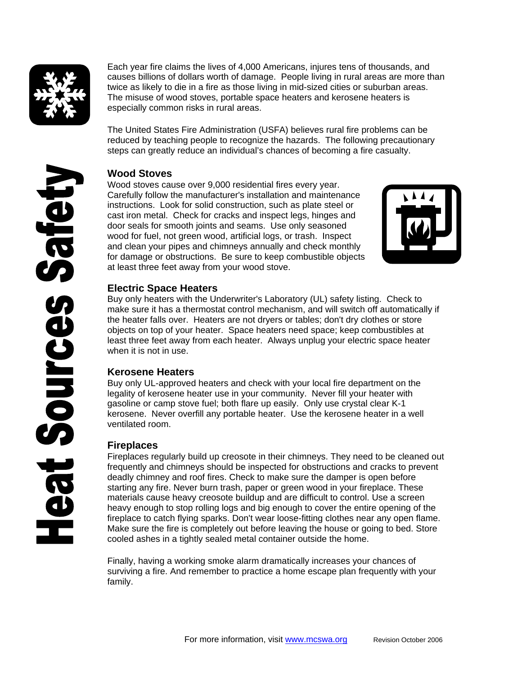

Each year fire claims the lives of 4,000 Americans, injures tens of thousands, and causes billions of dollars worth of damage. People living in rural areas are more than twice as likely to die in a fire as those living in mid-sized cities or suburban areas. The misuse of wood stoves, portable space heaters and kerosene heaters is especially common risks in rural areas.

The United States Fire Administration (USFA) believes rural fire problems can be reduced by teaching people to recognize the hazards. The following precautionary steps can greatly reduce an individual's chances of becoming a fire casualty.

# **Wood Stoves**

Wood stoves cause over 9,000 residential fires every year. Carefully follow the manufacturer's installation and maintenance instructions. Look for solid construction, such as plate steel or cast iron metal. Check for cracks and inspect legs, hinges and door seals for smooth joints and seams. Use only seasoned wood for fuel, not green wood, artificial logs, or trash. Inspect and clean your pipes and chimneys annually and check monthly for damage or obstructions. Be sure to keep combustible objects at least three feet away from your wood stove.



# **Electric Space Heaters**

Buy only heaters with the Underwriter's Laboratory (UL) safety listing. Check to make sure it has a thermostat control mechanism, and will switch off automatically if the heater falls over. Heaters are not dryers or tables; don't dry clothes or store objects on top of your heater. Space heaters need space; keep combustibles at least three feet away from each heater. Always unplug your electric space heater when it is not in use.

# **Kerosene Heaters**

Buy only UL-approved heaters and check with your local fire department on the legality of kerosene heater use in your community. Never fill your heater with gasoline or camp stove fuel; both flare up easily. Only use crystal clear K-1 kerosene. Never overfill any portable heater. Use the kerosene heater in a well ventilated room.

# **Fireplaces**

Fireplaces regularly build up creosote in their chimneys. They need to be cleaned out frequently and chimneys should be inspected for obstructions and cracks to prevent deadly chimney and roof fires. Check to make sure the damper is open before starting any fire. Never burn trash, paper or green wood in your fireplace. These materials cause heavy creosote buildup and are difficult to control. Use a screen heavy enough to stop rolling logs and big enough to cover the entire opening of the fireplace to catch flying sparks. Don't wear loose-fitting clothes near any open flame. Make sure the fire is completely out before leaving the house or going to bed. Store cooled ashes in a tightly sealed metal container outside the home.

Finally, having a working smoke alarm dramatically increases your chances of surviving a fire. And remember to practice a home escape plan frequently with your family.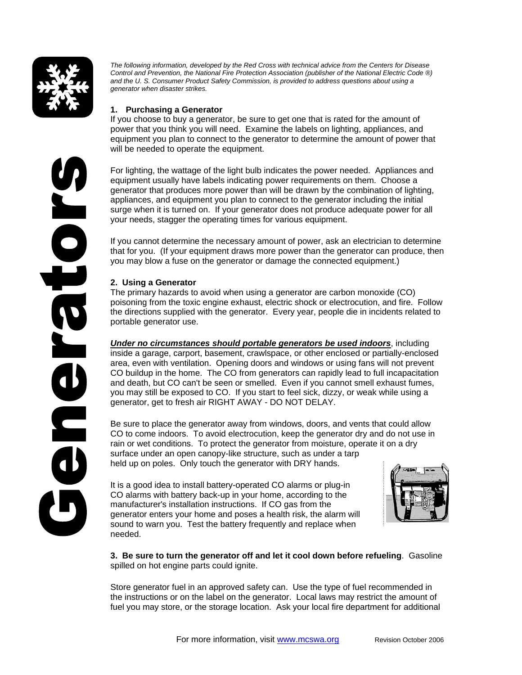

*The following information, developed by the Red Cross with technical advice from the Centers for Disease Control and Prevention, the National Fire Protection Association (publisher of the National Electric Code ®)*  and the U. S. Consumer Product Safety Commission, is provided to address questions about using a *generator when disaster strikes.* 

## **1. Purchasing a Generator**

If you choose to buy a generator, be sure to get one that is rated for the amount of power that you think you will need. Examine the labels on lighting, appliances, and equipment you plan to connect to the generator to determine the amount of power that will be needed to operate the equipment.

For lighting, the wattage of the light bulb indicates the power needed. Appliances and equipment usually have labels indicating power requirements on them. Choose a generator that produces more power than will be drawn by the combination of lighting, appliances, and equipment you plan to connect to the generator including the initial surge when it is turned on. If your generator does not produce adequate power for all your needs, stagger the operating times for various equipment.

If you cannot determine the necessary amount of power, ask an electrician to determine that for you. (If your equipment draws more power than the generator can produce, then you may blow a fuse on the generator or damage the connected equipment.)

## **2. Using a Generator**

The primary hazards to avoid when using a generator are carbon monoxide (CO) poisoning from the toxic engine exhaust, electric shock or electrocution, and fire. Follow the directions supplied with the generator. Every year, people die in incidents related to portable generator use.

*Under no circumstances should portable generators be used indoors*, including inside a garage, carport, basement, crawlspace, or other enclosed or partially-enclosed area, even with ventilation. Opening doors and windows or using fans will not prevent CO buildup in the home. The CO from generators can rapidly lead to full incapacitation and death, but CO can't be seen or smelled. Even if you cannot smell exhaust fumes, you may still be exposed to CO. If you start to feel sick, dizzy, or weak while using a generator, get to fresh air RIGHT AWAY - DO NOT DELAY.

Be sure to place the generator away from windows, doors, and vents that could allow CO to come indoors. To avoid electrocution, keep the generator dry and do not use in rain or wet conditions. To protect the generator from moisture, operate it on a dry surface under an open canopy-like structure, such as under a tarp held up on poles. Only touch the generator with DRY hands.

It is a good idea to install battery-operated CO alarms or plug-in CO alarms with battery back-up in your home, according to the manufacturer's installation instructions. If CO gas from the generator enters your home and poses a health risk, the alarm will sound to warn you. Test the battery frequently and replace when needed.



**3. Be sure to turn the generator off and let it cool down before refueling**. Gasoline spilled on hot engine parts could ignite.

Store generator fuel in an approved safety can. Use the type of fuel recommended in the instructions or on the label on the generator. Local laws may restrict the amount of fuel you may store, or the storage location. Ask your local fire department for additional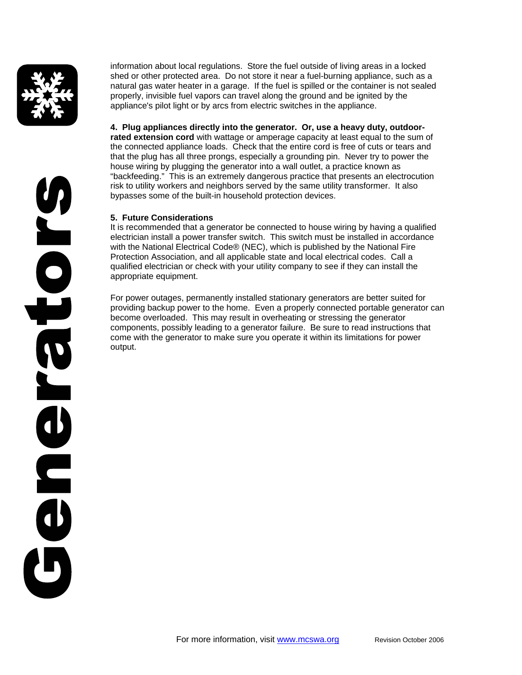

information about local regulations. Store the fuel outside of living areas in a locked shed or other protected area. Do not store it near a fuel-burning appliance, such as a natural gas water heater in a garage. If the fuel is spilled or the container is not sealed properly, invisible fuel vapors can travel along the ground and be ignited by the appliance's pilot light or by arcs from electric switches in the appliance.

**4. Plug appliances directly into the generator. Or, use a heavy duty, outdoor-**

**rated extension cord** with wattage or amperage capacity at least equal to the sum of the connected appliance loads. Check that the entire cord is free of cuts or tears and that the plug has all three prongs, especially a grounding pin. Never try to power the house wiring by plugging the generator into a wall outlet, a practice known as "backfeeding." This is an extremely dangerous practice that presents an electrocution risk to utility workers and neighbors served by the same utility transformer. It also bypasses some of the built-in household protection devices.

## **5. Future Considerations**

It is recommended that a generator be connected to house wiring by having a qualified electrician install a power transfer switch. This switch must be installed in accordance with the National Electrical Code® (NEC), which is published by the National Fire Protection Association, and all applicable state and local electrical codes. Call a qualified electrician or check with your utility company to see if they can install the appropriate equipment.

For power outages, permanently installed stationary generators are better suited for providing backup power to the home. Even a properly connected portable generator can become overloaded. This may result in overheating or stressing the generator components, possibly leading to a generator failure. Be sure to read instructions that come with the generator to make sure you operate it within its limitations for power output.